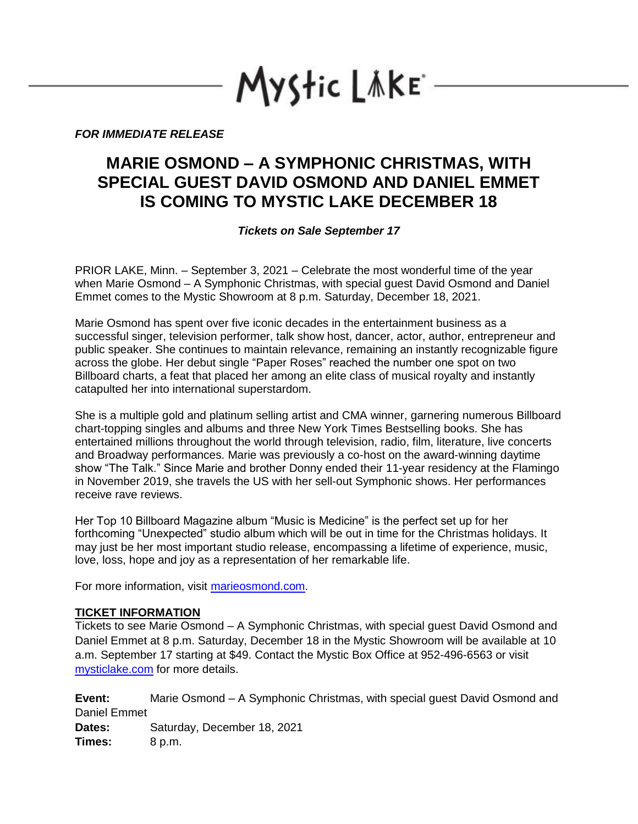Mystic LAKE

*FOR IMMEDIATE RELEASE*

## **MARIE OSMOND – A SYMPHONIC CHRISTMAS, WITH SPECIAL GUEST DAVID OSMOND AND DANIEL EMMET IS COMING TO MYSTIC LAKE DECEMBER 18**

*Tickets on Sale September 17*

PRIOR LAKE, Minn. – September 3, 2021 – Celebrate the most wonderful time of the year when Marie Osmond – A Symphonic Christmas, with special guest David Osmond and Daniel Emmet comes to the Mystic Showroom at 8 p.m. Saturday, December 18, 2021.

Marie Osmond has spent over five iconic decades in the entertainment business as a successful singer, television performer, talk show host, dancer, actor, author, entrepreneur and public speaker. She continues to maintain relevance, remaining an instantly recognizable figure across the globe. Her debut single "Paper Roses" reached the number one spot on two Billboard charts, a feat that placed her among an elite class of musical royalty and instantly catapulted her into international superstardom.

She is a multiple gold and platinum selling artist and CMA winner, garnering numerous Billboard chart-topping singles and albums and three New York Times Bestselling books. She has entertained millions throughout the world through television, radio, film, literature, live concerts and Broadway performances. Marie was previously a co-host on the award-winning daytime show "The Talk." Since Marie and brother Donny ended their 11-year residency at the Flamingo in November 2019, she travels the US with her sell-out Symphonic shows. Her performances receive rave reviews.

Her Top 10 Billboard Magazine album "Music is Medicine" is the perfect set up for her forthcoming "Unexpected" studio album which will be out in time for the Christmas holidays. It may just be her most important studio release, encompassing a lifetime of experience, music, love, loss, hope and joy as a representation of her remarkable life.

For more information, visit [marieosmond.com.](https://www.marieosmond.com/)

## **TICKET INFORMATION**

Tickets to see Marie Osmond – A Symphonic Christmas, with special guest David Osmond and Daniel Emmet at 8 p.m. Saturday, December 18 in the Mystic Showroom will be available at 10 a.m. September 17 starting at \$49. Contact the Mystic Box Office at 952-496-6563 or visit [mysticlake.com](http://www.mysticlake.com/) for more details.

**Event:** Marie Osmond – A Symphonic Christmas, with special guest David Osmond and Daniel Emmet **Dates:** Saturday, December 18, 2021 **Times:** 8 p.m.